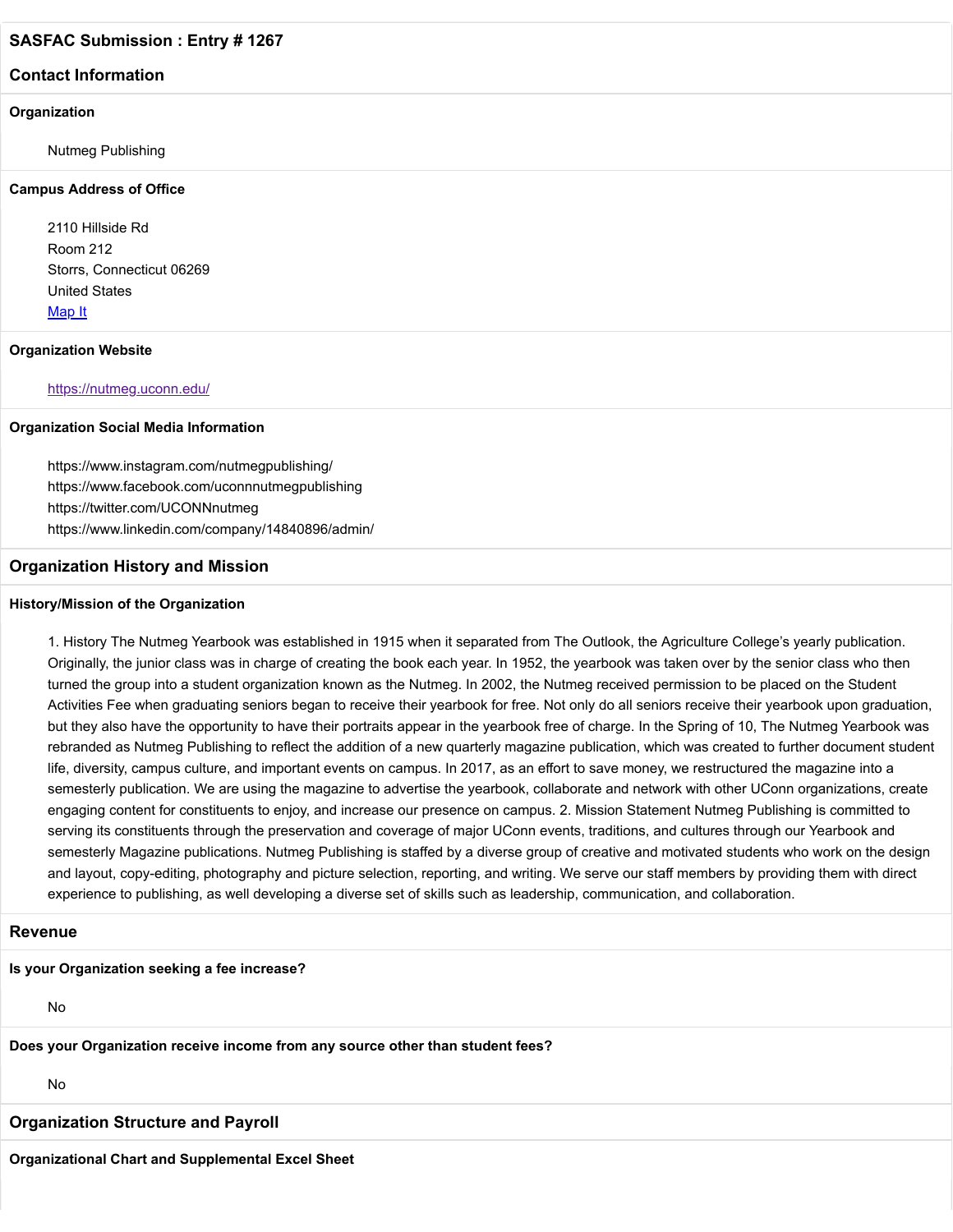## **Contact Information**

#### **Organization**

Nutmeg Publishing

#### **Campus Address of Office**

2110 Hillside Rd Room 212 Storrs, Connecticut 06269 United States [Map It](http://maps.google.com/maps?q=2110+Hillside+Rd+Room+212+Storrs%2C+Connecticut+06269+United+States)

### **Organization Website**

#### <https://nutmeg.uconn.edu/>

## **Organization Social Media Information**

https://www.instagram.com/nutmegpublishing/ https://www.facebook.com/uconnnutmegpublishing https://twitter.com/UCONNnutmeg https://www.linkedin.com/company/14840896/admin/

## **Organization History and Mission**

#### **History/Mission of the Organization**

1. History The Nutmeg Yearbook was established in 1915 when it separated from The Outlook, the Agriculture College's yearly publication. Originally, the junior class was in charge of creating the book each year. In 1952, the yearbook was taken over by the senior class who then turned the group into a student organization known as the Nutmeg. In 2002, the Nutmeg received permission to be placed on the Student Activities Fee when graduating seniors began to receive their yearbook for free. Not only do all seniors receive their yearbook upon graduation, but they also have the opportunity to have their portraits appear in the yearbook free of charge. In the Spring of 10, The Nutmeg Yearbook was rebranded as Nutmeg Publishing to reflect the addition of a new quarterly magazine publication, which was created to further document student life, diversity, campus culture, and important events on campus. In 2017, as an effort to save money, we restructured the magazine into a semesterly publication. We are using the magazine to advertise the yearbook, collaborate and network with other UConn organizations, create engaging content for constituents to enjoy, and increase our presence on campus. 2. Mission Statement Nutmeg Publishing is committed to serving its constituents through the preservation and coverage of major UConn events, traditions, and cultures through our Yearbook and semesterly Magazine publications. Nutmeg Publishing is staffed by a diverse group of creative and motivated students who work on the design and layout, copy-editing, photography and picture selection, reporting, and writing. We serve our staff members by providing them with direct experience to publishing, as well developing a diverse set of skills such as leadership, communication, and collaboration.

## **Revenue**

## **Is your Organization seeking a fee increase?**

No

**Does your Organization receive income from any source other than student fees?**

No

## **Organization Structure and Payroll**

**Organizational Chart and Supplemental Excel Sheet**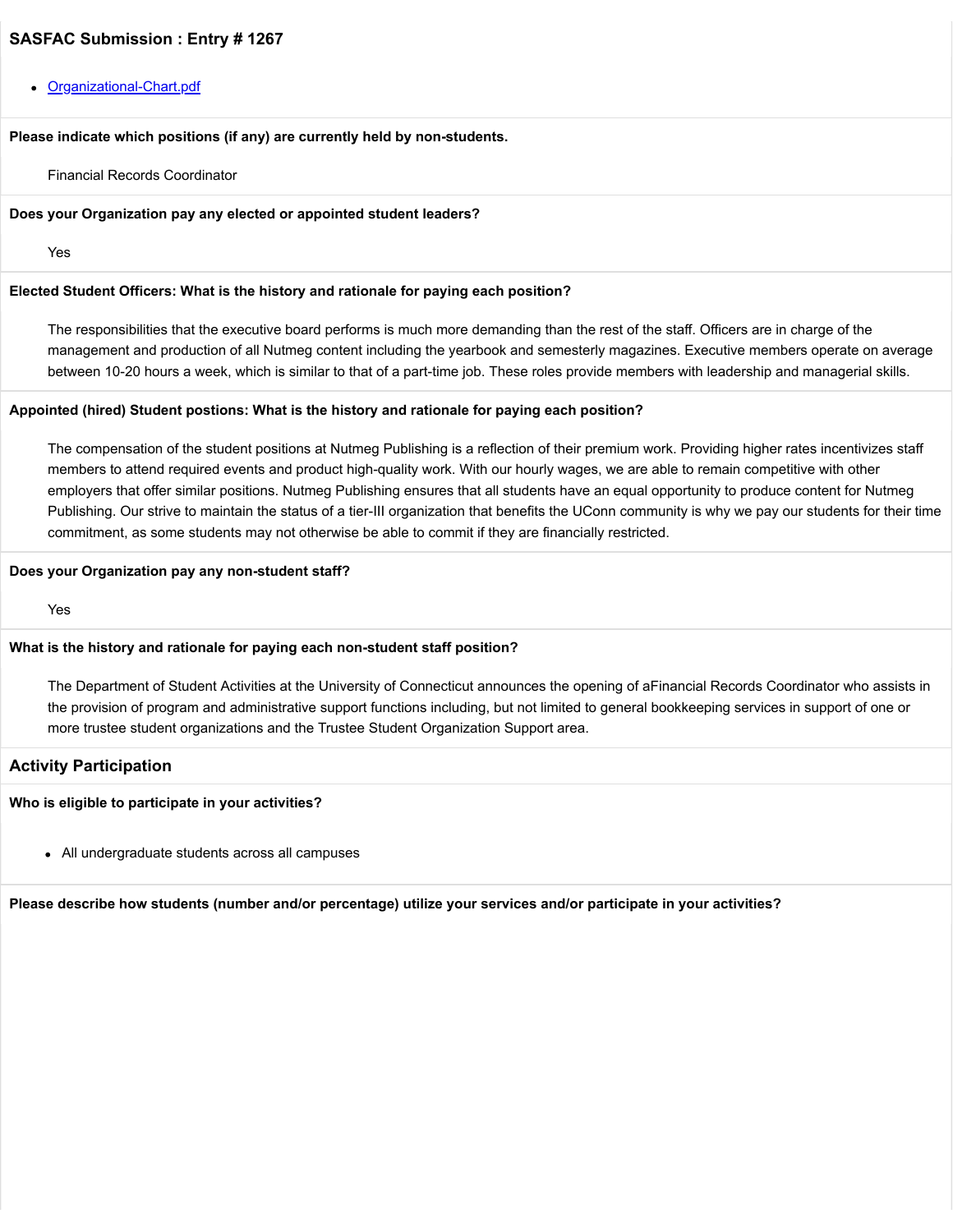#### [Organizational-Chart.pdf](https://trusteeorgsupport.uconn.edu/index.php?gf-download=2022%2F02%2FOrganizational-Chart.pdf&form-id=18&field-id=13&hash=4ad7ca57b0b7854ae5ab0260c74d75375a7dce925056763c12fb8219992796b6)

## **Please indicate which positions (if any) are currently held by non-students.**

Financial Records Coordinator

#### **Does your Organization pay any elected or appointed student leaders?**

Yes

#### **Elected Student Officers: What is the history and rationale for paying each position?**

The responsibilities that the executive board performs is much more demanding than the rest of the staff. Officers are in charge of the management and production of all Nutmeg content including the yearbook and semesterly magazines. Executive members operate on average between 10-20 hours a week, which is similar to that of a part-time job. These roles provide members with leadership and managerial skills.

#### **Appointed (hired) Student postions: What is the history and rationale for paying each position?**

The compensation of the student positions at Nutmeg Publishing is a reflection of their premium work. Providing higher rates incentivizes staff members to attend required events and product high-quality work. With our hourly wages, we are able to remain competitive with other employers that offer similar positions. Nutmeg Publishing ensures that all students have an equal opportunity to produce content for Nutmeg Publishing. Our strive to maintain the status of a tier-III organization that benefits the UConn community is why we pay our students for their time commitment, as some students may not otherwise be able to commit if they are financially restricted.

#### **Does your Organization pay any non-student staff?**

Yes

#### **What is the history and rationale for paying each non-student staff position?**

The Department of Student Activities at the University of Connecticut announces the opening of aFinancial Records Coordinator who assists in the provision of program and administrative support functions including, but not limited to general bookkeeping services in support of one or more trustee student organizations and the Trustee Student Organization Support area.

### **Activity Participation**

### **Who is eligible to participate in your activities?**

All undergraduate students across all campuses

**Please describe how students (number and/or percentage) utilize your services and/or participate in your activities?**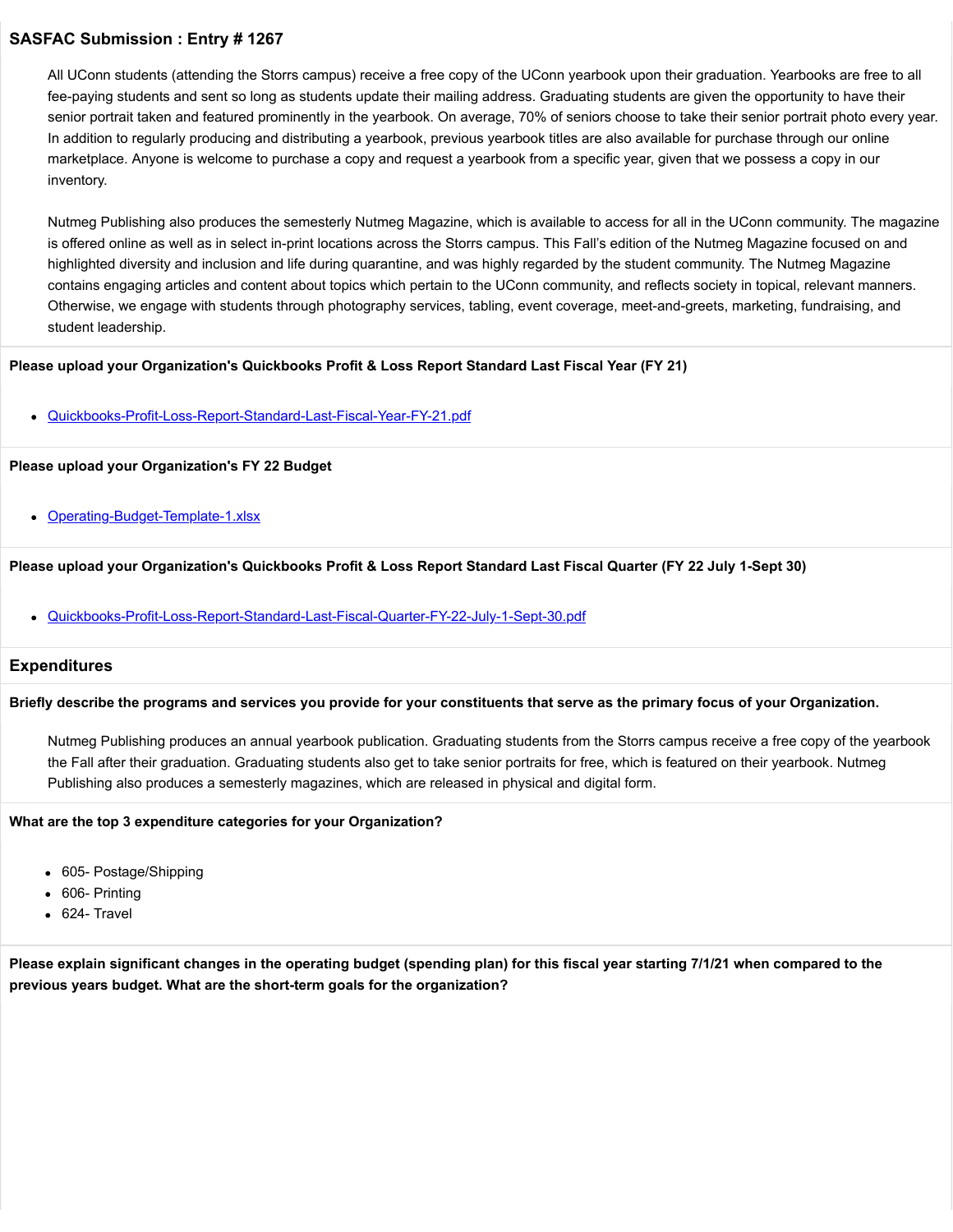All UConn students (attending the Storrs campus) receive a free copy of the UConn yearbook upon their graduation. Yearbooks are free to all fee-paying students and sent so long as students update their mailing address. Graduating students are given the opportunity to have their senior portrait taken and featured prominently in the yearbook. On average, 70% of seniors choose to take their senior portrait photo every year. In addition to regularly producing and distributing a yearbook, previous yearbook titles are also available for purchase through our online marketplace. Anyone is welcome to purchase a copy and request a yearbook from a specific year, given that we possess a copy in our inventory.

Nutmeg Publishing also produces the semesterly Nutmeg Magazine, which is available to access for all in the UConn community. The magazine is offered online as well as in select in-print locations across the Storrs campus. This Fall's edition of the Nutmeg Magazine focused on and highlighted diversity and inclusion and life during quarantine, and was highly regarded by the student community. The Nutmeg Magazine contains engaging articles and content about topics which pertain to the UConn community, and reflects society in topical, relevant manners. Otherwise, we engage with students through photography services, tabling, event coverage, meet-and-greets, marketing, fundraising, and student leadership.

## **Please upload your Organization's Quickbooks Profit & Loss Report Standard Last Fiscal Year (FY 21)**

[Quickbooks-Profit-Loss-Report-Standard-Last-Fiscal-Year-FY-21.pdf](https://trusteeorgsupport.uconn.edu/index.php?gf-download=2022%2F02%2FQuickbooks-Profit-Loss-Report-Standard-Last-Fiscal-Year-FY-21.pdf&form-id=18&field-id=62&hash=e4dd63a1d0112545f0913aadaf637929bb09188dfc32c93178b24b53af519587)

## **Please upload your Organization's FY 22 Budget**

• [Operating-Budget-Template-1.xlsx](https://trusteeorgsupport.uconn.edu/index.php?gf-download=2022%2F02%2FOperating-Budget-Template-1.xlsx&form-id=18&field-id=65&hash=0328b0875d675343059963efc27056e83336742ad27747e63d91a5b9836794d6)

## **Please upload your Organization's Quickbooks Profit & Loss Report Standard Last Fiscal Quarter (FY 22 July 1-Sept 30)**

[Quickbooks-Profit-Loss-Report-Standard-Last-Fiscal-Quarter-FY-22-July-1-Sept-30.pdf](https://trusteeorgsupport.uconn.edu/index.php?gf-download=2022%2F02%2FQuickbooks-Profit-Loss-Report-Standard-Last-Fiscal-Quarter-FY-22-July-1-Sept-30.pdf&form-id=18&field-id=64&hash=0b8e834cda75c4fcab319a42f3c917d3e463f333c1384525e505a1509151fdcd)

## **Expenditures**

#### **Briefly describe the programs and services you provide for your constituents that serve as the primary focus of your Organization.**

Nutmeg Publishing produces an annual yearbook publication. Graduating students from the Storrs campus receive a free copy of the yearbook the Fall after their graduation. Graduating students also get to take senior portraits for free, which is featured on their yearbook. Nutmeg Publishing also produces a semesterly magazines, which are released in physical and digital form.

## **What are the top 3 expenditure categories for your Organization?**

- 605- Postage/Shipping
- 606- Printing
- 624- Travel

**Please explain significant changes in the operating budget (spending plan) for this fiscal year starting 7/1/21 when compared to the previous years budget. What are the short-term goals for the organization?**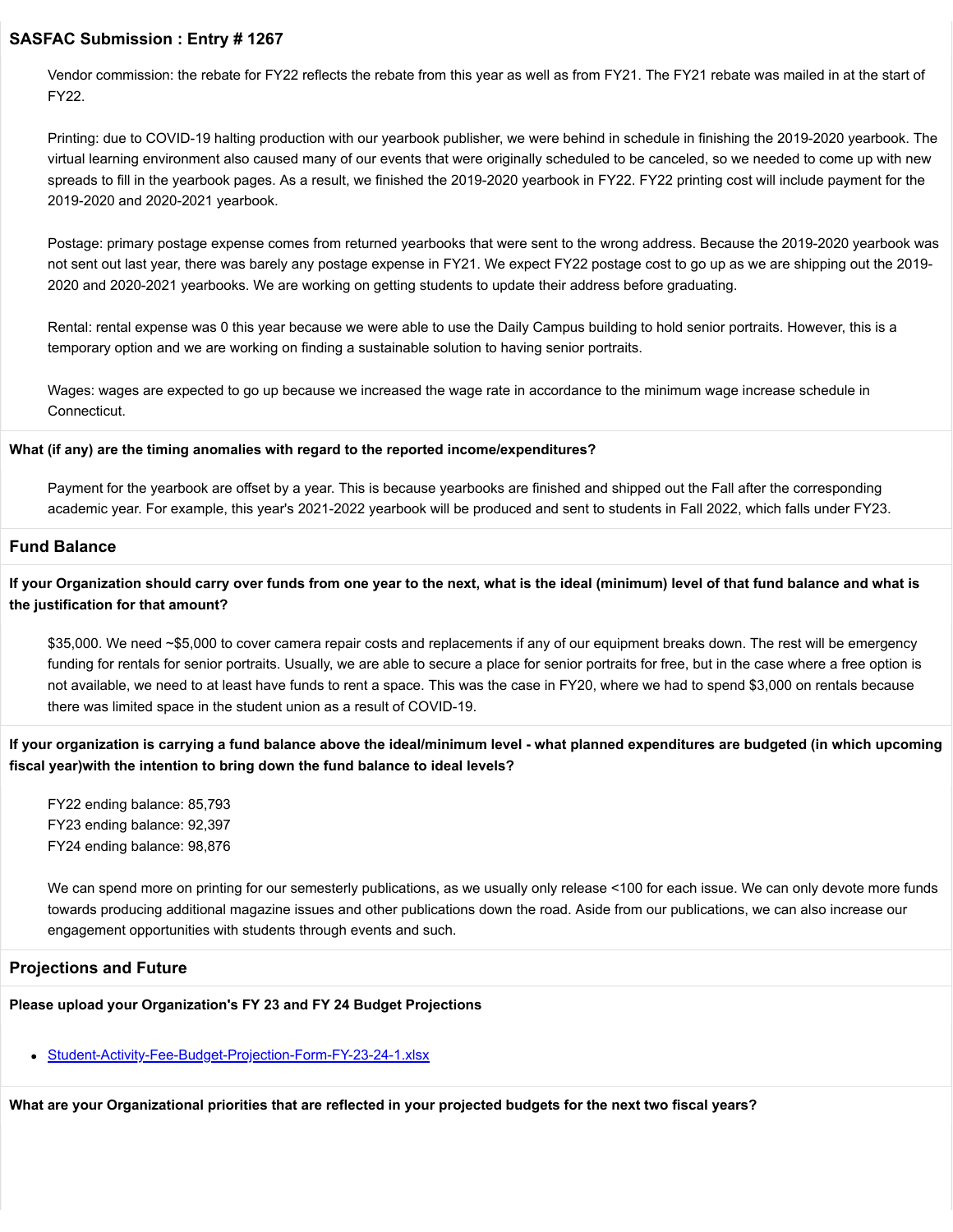Vendor commission: the rebate for FY22 reflects the rebate from this year as well as from FY21. The FY21 rebate was mailed in at the start of FY22.

Printing: due to COVID-19 halting production with our yearbook publisher, we were behind in schedule in finishing the 2019-2020 yearbook. The virtual learning environment also caused many of our events that were originally scheduled to be canceled, so we needed to come up with new spreads to fill in the yearbook pages. As a result, we finished the 2019-2020 yearbook in FY22. FY22 printing cost will include payment for the 2019-2020 and 2020-2021 yearbook.

Postage: primary postage expense comes from returned yearbooks that were sent to the wrong address. Because the 2019-2020 yearbook was not sent out last year, there was barely any postage expense in FY21. We expect FY22 postage cost to go up as we are shipping out the 2019- 2020 and 2020-2021 yearbooks. We are working on getting students to update their address before graduating.

Rental: rental expense was 0 this year because we were able to use the Daily Campus building to hold senior portraits. However, this is a temporary option and we are working on finding a sustainable solution to having senior portraits.

Wages: wages are expected to go up because we increased the wage rate in accordance to the minimum wage increase schedule in Connecticut.

#### **What (if any) are the timing anomalies with regard to the reported income/expenditures?**

Payment for the yearbook are offset by a year. This is because yearbooks are finished and shipped out the Fall after the corresponding academic year. For example, this year's 2021-2022 yearbook will be produced and sent to students in Fall 2022, which falls under FY23.

## **Fund Balance**

## **If your Organization should carry over funds from one year to the next, what is the ideal (minimum) level of that fund balance and what is the justification for that amount?**

\$35,000. We need ~\$5,000 to cover camera repair costs and replacements if any of our equipment breaks down. The rest will be emergency funding for rentals for senior portraits. Usually, we are able to secure a place for senior portraits for free, but in the case where a free option is not available, we need to at least have funds to rent a space. This was the case in FY20, where we had to spend \$3,000 on rentals because there was limited space in the student union as a result of COVID-19.

**If your organization is carrying a fund balance above the ideal/minimum level - what planned expenditures are budgeted (in which upcoming fiscal year)with the intention to bring down the fund balance to ideal levels?**

FY22 ending balance: 85,793 FY23 ending balance: 92,397 FY24 ending balance: 98,876

We can spend more on printing for our semesterly publications, as we usually only release <100 for each issue. We can only devote more funds towards producing additional magazine issues and other publications down the road. Aside from our publications, we can also increase our engagement opportunities with students through events and such.

## **Projections and Future**

## **Please upload your Organization's FY 23 and FY 24 Budget Projections**

[Student-Activity-Fee-Budget-Projection-Form-FY-23-24-1.xlsx](https://trusteeorgsupport.uconn.edu/index.php?gf-download=2022%2F02%2FStudent-Activity-Fee-Budget-Projection-Form-FY-23-24-1.xlsx&form-id=18&field-id=63&hash=f28658070e29e7e337d31d1726d5af0f77911ae3346ff1e758b6d6065b937d6e)

**What are your Organizational priorities that are reflected in your projected budgets for the next two fiscal years?**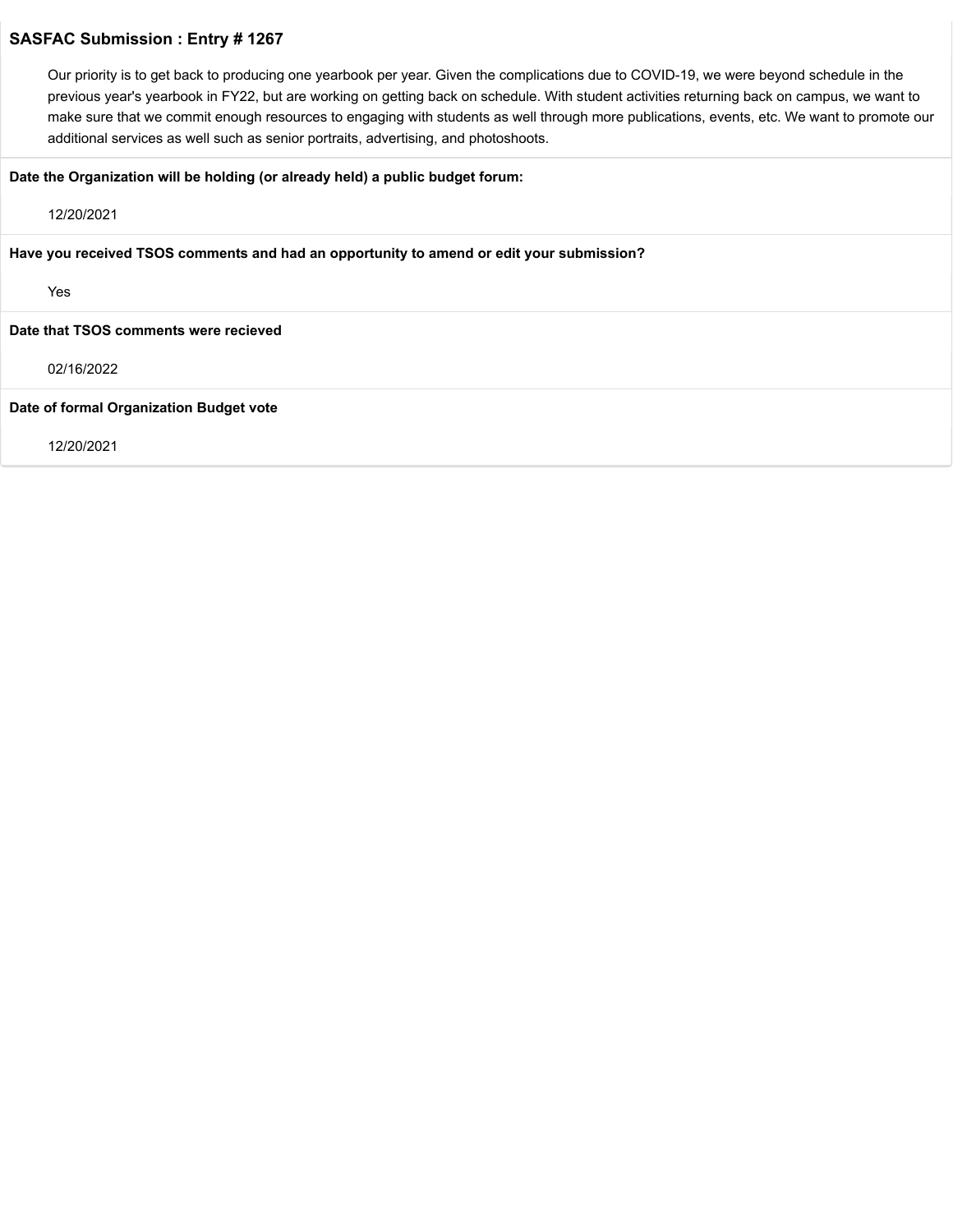Our priority is to get back to producing one yearbook per year. Given the complications due to COVID-19, we were beyond schedule in the previous year's yearbook in FY22, but are working on getting back on schedule. With student activities returning back on campus, we want to make sure that we commit enough resources to engaging with students as well through more publications, events, etc. We want to promote our additional services as well such as senior portraits, advertising, and photoshoots.

#### **Date the Organization will be holding (or already held) a public budget forum:**

12/20/2021

**Have you received TSOS comments and had an opportunity to amend or edit your submission?**

Yes

#### **Date that TSOS comments were recieved**

02/16/2022

## **Date of formal Organization Budget vote**

12/20/2021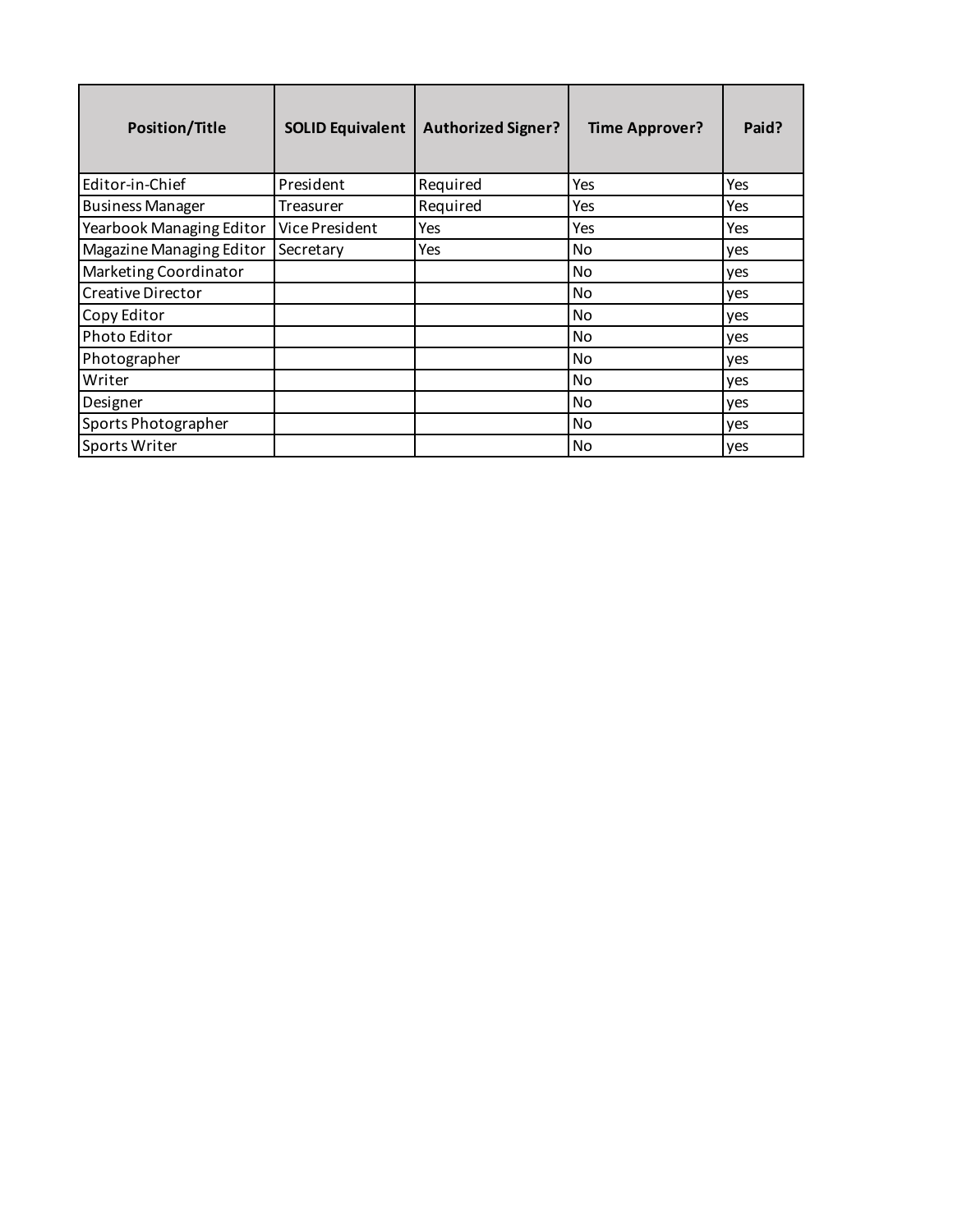| <b>Position/Title</b>    | <b>SOLID Equivalent</b> | <b>Authorized Signer?</b> | <b>Time Approver?</b> | Paid? |
|--------------------------|-------------------------|---------------------------|-----------------------|-------|
| Editor-in-Chief          | President               | Required                  | Yes                   | Yes   |
| <b>Business Manager</b>  | Treasurer               | Required                  | Yes                   | Yes   |
| Yearbook Managing Editor | Vice President          | Yes                       | Yes                   | Yes   |
| Magazine Managing Editor | Secretary               | Yes                       | No                    | yes   |
| Marketing Coordinator    |                         |                           | No.                   | yes   |
| Creative Director        |                         |                           | <b>No</b>             | yes   |
| Copy Editor              |                         |                           | No                    | yes   |
| Photo Editor             |                         |                           | No.                   | yes   |
| Photographer             |                         |                           | No.                   | yes   |
| Writer                   |                         |                           | No                    | yes   |
| Designer                 |                         |                           | No                    | yes   |
| Sports Photographer      |                         |                           | No.                   | yes   |
| Sports Writer            |                         |                           | No                    | yes   |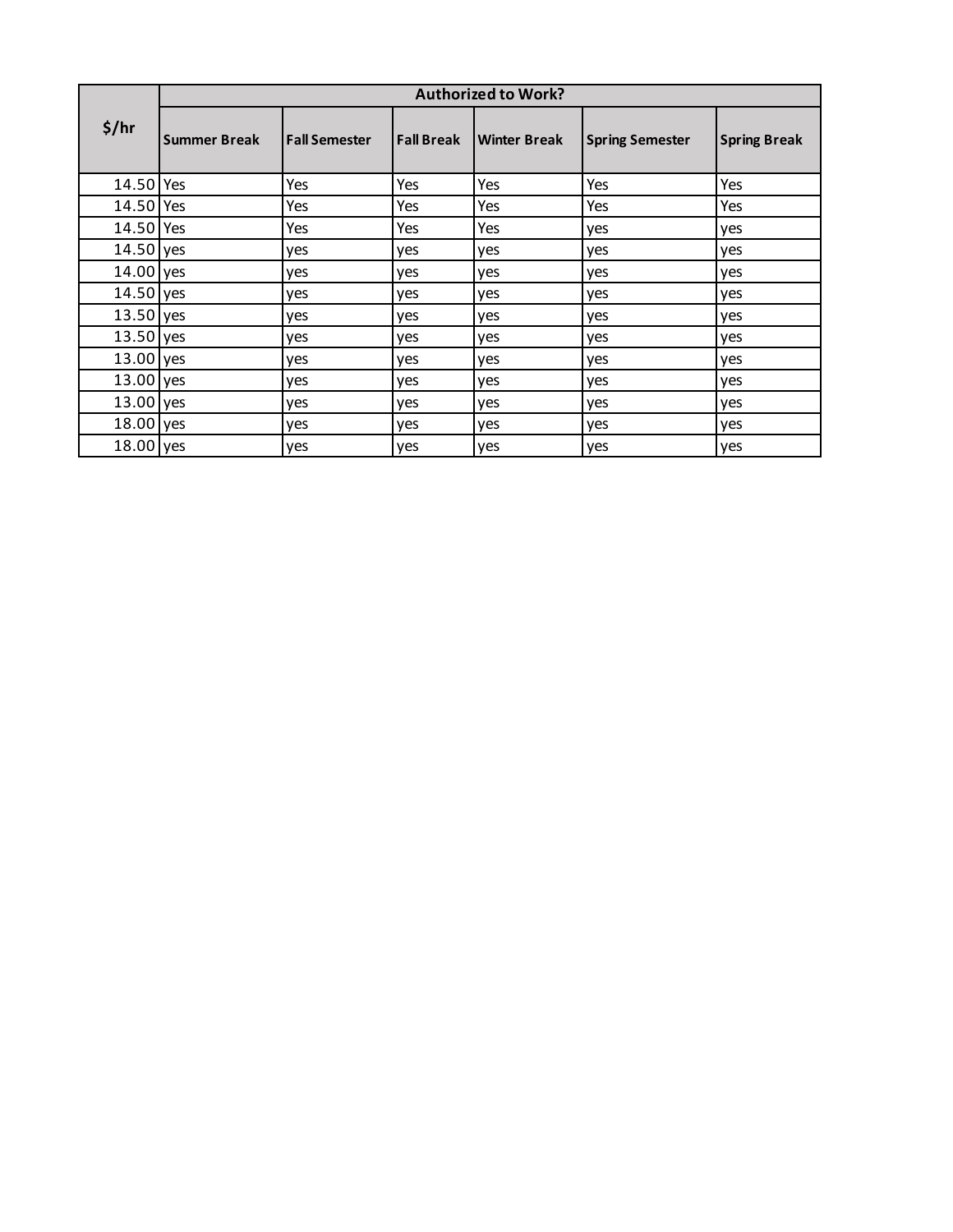|             | <b>Authorized to Work?</b> |                      |                   |              |                        |                     |
|-------------|----------------------------|----------------------|-------------------|--------------|------------------------|---------------------|
| \$/hr       | <b>Summer Break</b>        | <b>Fall Semester</b> | <b>Fall Break</b> | Winter Break | <b>Spring Semester</b> | <b>Spring Break</b> |
| 14.50 Yes   |                            | Yes                  | Yes               | Yes          | Yes                    | Yes                 |
| 14.50 Yes   |                            | Yes                  | Yes               | Yes          | Yes                    | Yes                 |
| 14.50 Yes   |                            | Yes                  | Yes               | Yes          | yes                    | yes                 |
| $14.50$ yes |                            | yes                  | yes               | yes          | yes                    | yes                 |
| 14.00 yes   |                            | yes                  | yes               | yes          | yes                    | yes                 |
| 14.50 yes   |                            | yes                  | yes               | yes          | yes                    | yes                 |
| 13.50 yes   |                            | yes                  | yes               | yes          | yes                    | yes                 |
| 13.50 yes   |                            | yes                  | yes               | yes          | yes                    | yes                 |
| 13.00 yes   |                            | yes                  | yes               | yes          | yes                    | yes                 |
| 13.00 yes   |                            | yes                  | yes               | yes          | yes                    | yes                 |
| 13.00 yes   |                            | yes                  | yes               | yes          | yes                    | yes                 |
| 18.00 yes   |                            | yes                  | yes               | yes          | yes                    | yes                 |
| 18.00 yes   |                            | yes                  | yes               | yes          | yes                    | yes                 |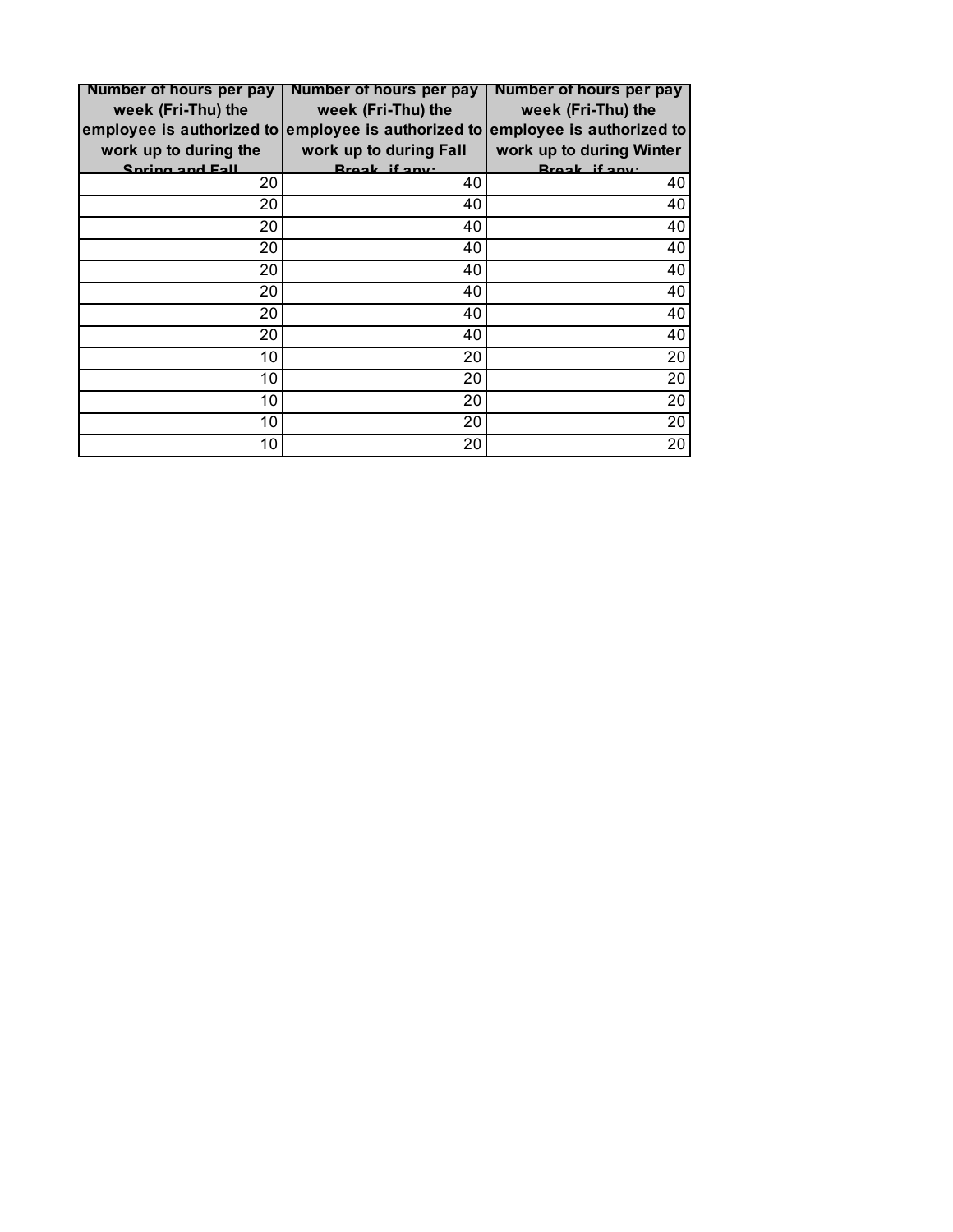| Number of hours per pay<br>week (Fri-Thu) the | Number of hours per pay<br>week (Fri-Thu) the | Number of hours per pay<br>week (Fri-Thu) the |
|-----------------------------------------------|-----------------------------------------------|-----------------------------------------------|
| employee is authorized to                     | employee is authorized to                     | employee is authorized to                     |
| work up to during the                         | work up to during Fall                        | work up to during Winter                      |
| Spring and Fall                               | Break if any:                                 | Break if any:                                 |
| 20                                            | 40                                            | 40                                            |
| 20                                            | 40                                            | 40                                            |
| 20                                            | 40                                            | 40                                            |
| 20                                            | 40                                            | 40                                            |
| 20                                            | 40                                            | 40                                            |
| 20                                            | 40                                            | 40                                            |
| 20                                            | 40                                            | 40                                            |
| 20                                            | 40                                            | 40                                            |
| 10                                            | 20                                            | 20                                            |
| 10                                            | 20                                            | 20                                            |
| 10                                            | 20                                            | 20                                            |
| 10                                            | 20                                            | 20                                            |
| 10                                            | 20                                            | 20                                            |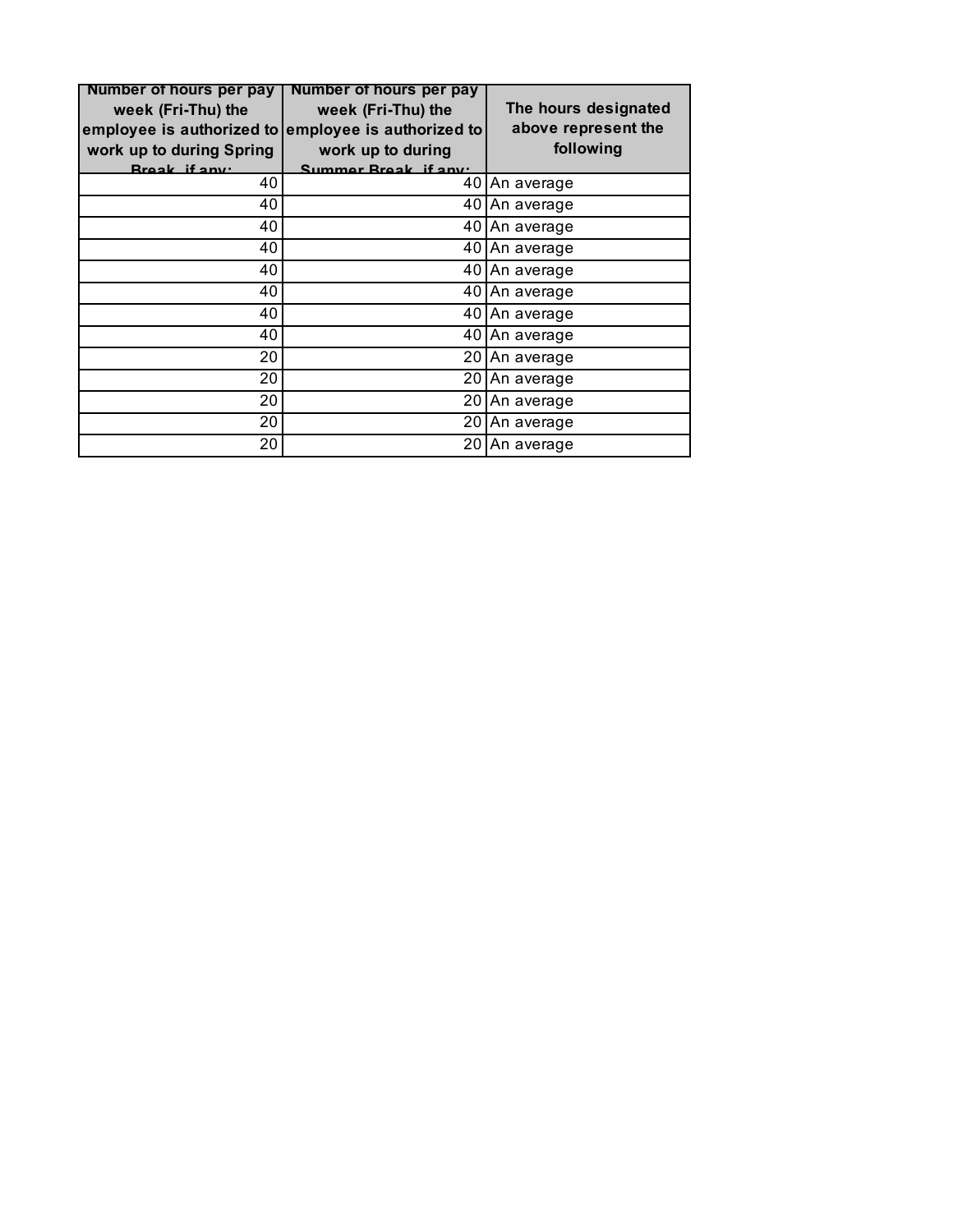| Number of hours per pay<br>week (Fri-Thu) the<br>work up to during Spring<br>Break if any: | Number of hours per pay<br>week (Fri-Thu) the<br>employee is authorized to employee is authorized to<br>work up to during<br>Summer Break if any: | The hours designated<br>above represent the<br>following |
|--------------------------------------------------------------------------------------------|---------------------------------------------------------------------------------------------------------------------------------------------------|----------------------------------------------------------|
| 40                                                                                         |                                                                                                                                                   | 40 An average                                            |
| 40                                                                                         |                                                                                                                                                   | 40 An average                                            |
| 40                                                                                         |                                                                                                                                                   | 40 An average                                            |
| 40                                                                                         |                                                                                                                                                   | 40 An average                                            |
| 40                                                                                         |                                                                                                                                                   | 40 An average                                            |
| 40                                                                                         |                                                                                                                                                   | 40 An average                                            |
| 40                                                                                         |                                                                                                                                                   | 40 An average                                            |
| 40                                                                                         |                                                                                                                                                   | 40 An average                                            |
| 20                                                                                         |                                                                                                                                                   | 20 An average                                            |
| 20                                                                                         |                                                                                                                                                   | 20 An average                                            |
| 20                                                                                         |                                                                                                                                                   | 20 An average                                            |
| 20                                                                                         |                                                                                                                                                   | 20 An average                                            |
| 20                                                                                         |                                                                                                                                                   | 20 An average                                            |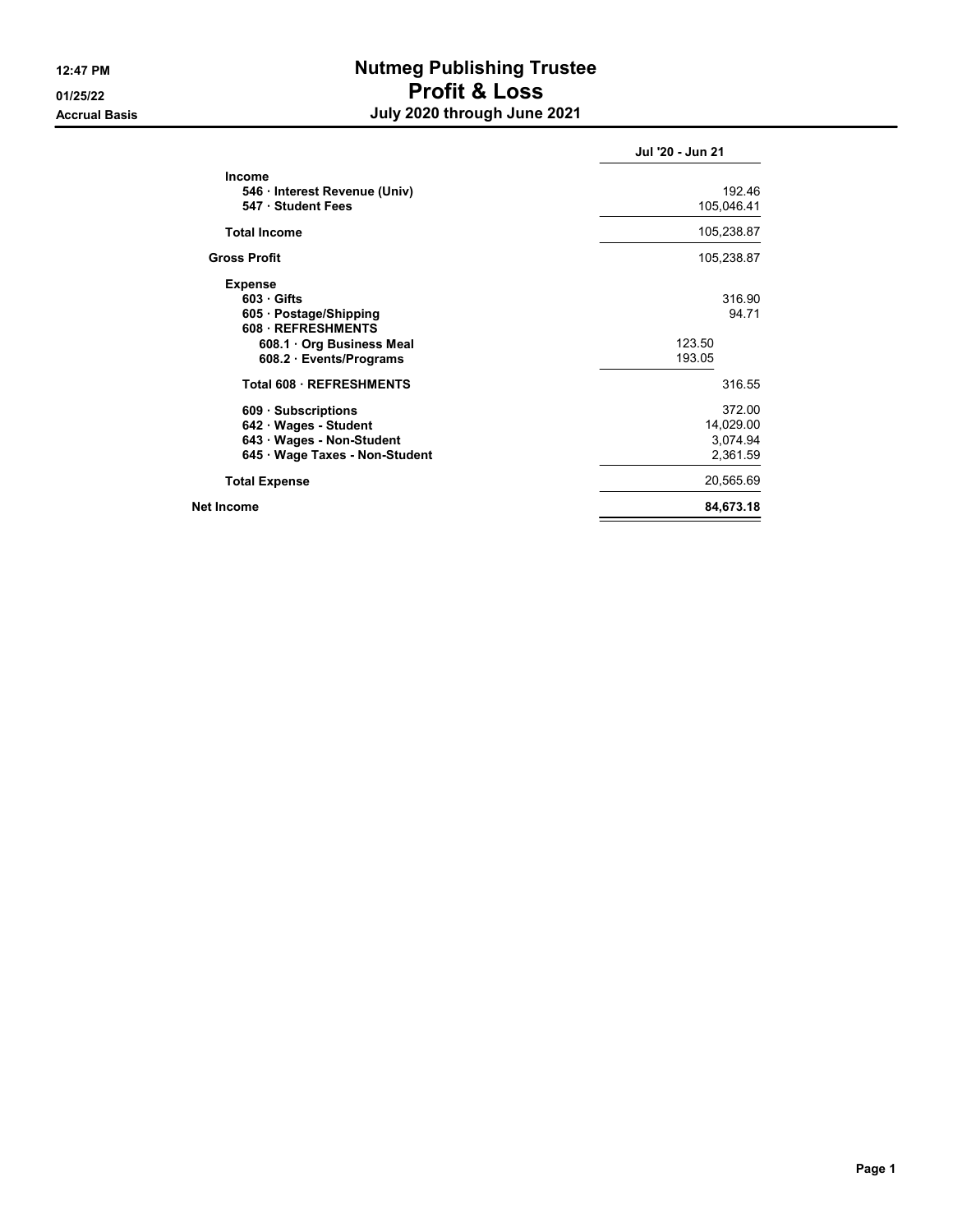# 12:47 PM **Nutmeg Publishing Trustee** 01/25/22 Profit & Loss Accrual Basis **Accrual Basis July 2020 through June 2021**

|                                            | Jul '20 - Jun 21 |
|--------------------------------------------|------------------|
| Income                                     |                  |
| 546 · Interest Revenue (Univ)              | 192.46           |
| 547 · Student Fees                         | 105,046.41       |
| <b>Total Income</b>                        | 105,238.87       |
| <b>Gross Profit</b>                        | 105,238.87       |
| <b>Expense</b>                             |                  |
| $603$ Gifts                                | 316.90           |
| 605 · Postage/Shipping<br>608 REFRESHMENTS | 94.71            |
| 608.1 Org Business Meal                    | 123.50           |
| 608.2 · Events/Programs                    | 193.05           |
| <b>Total 608 REFRESHMENTS</b>              | 316.55           |
| 609 Subscriptions                          | 372.00           |
| 642 · Wages - Student                      | 14,029.00        |
| 643 · Wages - Non-Student                  | 3,074.94         |
| 645 · Wage Taxes - Non-Student             | 2,361.59         |
| <b>Total Expense</b>                       | 20,565.69        |
| Net Income                                 | 84,673.18        |
|                                            |                  |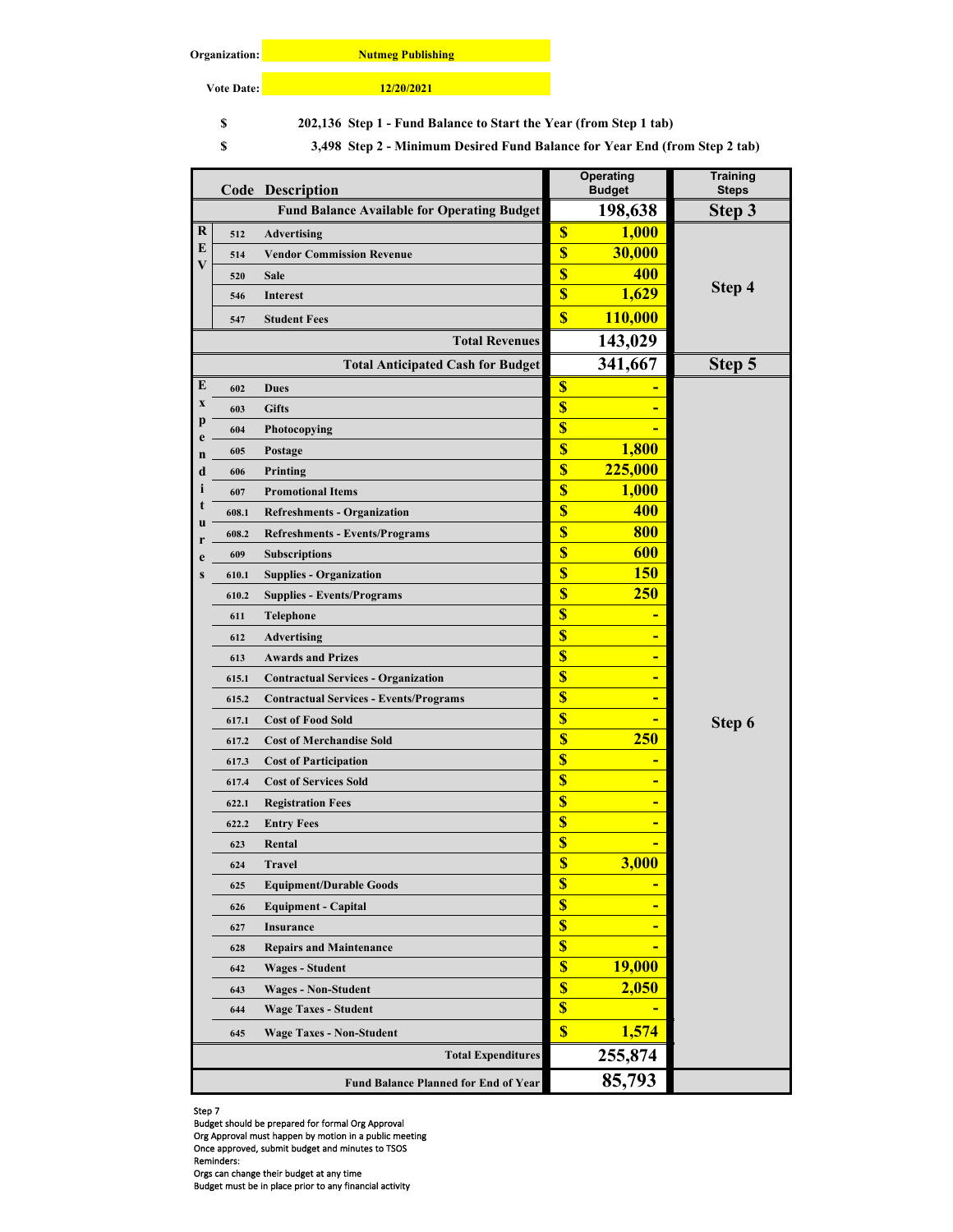#### **Organization:**

**Nutmeg Publishing 12/20/2021**

**Vote Date:**

**Step 1 - Fund Balance to Start the Year (from Step 1 tab) \$ 202,136** 

**S** 3,498 Step 2 - Minimum Desired Fund Balance for Year End (from Step 2 tab)

|          |       | <b>Code Description</b>                            |                           | <b>Operating</b><br><b>Budget</b> | <b>Training</b><br><b>Steps</b> |
|----------|-------|----------------------------------------------------|---------------------------|-----------------------------------|---------------------------------|
|          |       | <b>Fund Balance Available for Operating Budget</b> |                           | 198,638                           | Step 3                          |
| $\bf{R}$ | 512   | <b>Advertising</b>                                 | $\overline{\mathbf{S}}$   | <b>1,000</b>                      |                                 |
| E        | 514   | <b>Vendor Commission Revenue</b>                   | $\overline{\mathbf{S}}$   | 30,000                            |                                 |
| V        | 520   | Sale                                               | $\overline{\mathbb{S}}$   | 400                               |                                 |
|          | 546   | Interest                                           | $\overline{\mathbf{S}}$   | 1,629                             | Step 4                          |
|          | 547   | <b>Student Fees</b>                                | $\overline{\mathbf{S}}$   | <b>110,000</b>                    |                                 |
|          |       | <b>Total Revenues</b>                              |                           | 143,029                           |                                 |
|          |       | <b>Total Anticipated Cash for Budget</b>           |                           | 341,667                           | Step 5                          |
| E        | 602   | <b>Dues</b>                                        | $\boldsymbol{\mathsf{S}}$ |                                   |                                 |
| X        | 603   | <b>Gifts</b>                                       | $\overline{\mathbb{S}}$   |                                   |                                 |
| p        | 604   | Photocopying                                       | $\overline{\mathbb{S}}$   |                                   |                                 |
| e<br>n   | 605   | Postage                                            | $\overline{\mathbf{S}}$   | 1,800                             |                                 |
| d        | 606   | Printing                                           | $\overline{\mathbf{S}}$   | 225,000                           |                                 |
| i        | 607   | <b>Promotional Items</b>                           | $\overline{\mathbf{S}}$   | 1,000                             |                                 |
| t        | 608.1 | <b>Refreshments - Organization</b>                 | $\overline{\mathbf{S}}$   | 400                               |                                 |
| u        | 608.2 | <b>Refreshments - Events/Programs</b>              | $\overline{\mathbf{S}}$   | 800                               |                                 |
| e        | 609   | <b>Subscriptions</b>                               | $\overline{\mathbb{S}}$   | 600                               |                                 |
| S        | 610.1 | <b>Supplies - Organization</b>                     | $\overline{\mathbf{S}}$   | <b>150</b>                        |                                 |
|          | 610.2 | <b>Supplies - Events/Programs</b>                  | $\overline{\mathbf{S}}$   | 250                               |                                 |
|          | 611   | Telephone                                          | $\overline{\mathbb{S}}$   |                                   |                                 |
|          | 612   | <b>Advertising</b>                                 | $\overline{\mathbb{S}}$   |                                   |                                 |
|          | 613   | <b>Awards and Prizes</b>                           | $\overline{\mathbb{S}}$   |                                   |                                 |
|          | 615.1 | <b>Contractual Services - Organization</b>         | $\overline{\mathbf{S}}$   |                                   |                                 |
|          | 615.2 | <b>Contractual Services - Events/Programs</b>      | $\overline{\mathbf{S}}$   |                                   |                                 |
|          | 617.1 | <b>Cost of Food Sold</b>                           | $\overline{\mathbb{S}}$   |                                   | Step 6                          |
|          | 617.2 | <b>Cost of Merchandise Sold</b>                    | $\overline{\mathbf{S}}$   | <b>250</b>                        |                                 |
|          | 617.3 | <b>Cost of Participation</b>                       | $\boldsymbol{\mathsf{S}}$ |                                   |                                 |
|          | 617.4 | <b>Cost of Services Sold</b>                       | $\overline{\mathbb{S}}$   |                                   |                                 |
|          | 622.1 | <b>Registration Fees</b>                           | $\overline{\mathbf{S}}$   |                                   |                                 |
|          | 622.2 | <b>Entry Fees</b>                                  | $\overline{\mathbb{S}}$   |                                   |                                 |
|          | 623   | Rental                                             | $\overline{\mathbf{S}}$   |                                   |                                 |
|          | 624   | Travel                                             | $\boldsymbol{\mathsf{S}}$ | <b>3,000</b>                      |                                 |
|          | 625   | <b>Equipment/Durable Goods</b>                     | $\overline{\mathbf{S}}$   |                                   |                                 |
|          | 626   | <b>Equipment - Capital</b>                         | $\overline{\mathbf{S}}$   |                                   |                                 |
|          | 627   | Insurance                                          | $\overline{\mathbb{S}}$   |                                   |                                 |
|          | 628   | <b>Repairs and Maintenance</b>                     | $\overline{\mathbb{S}}$   |                                   |                                 |
|          | 642   | Wages - Student                                    | $\overline{\mathbf{S}}$   | <b>19,000</b>                     |                                 |
|          | 643   | <b>Wages - Non-Student</b>                         | $\overline{\mathbf{S}}$   | 2,050                             |                                 |
|          | 644   | Wage Taxes - Student                               | $\overline{\mathbf{S}}$   |                                   |                                 |
|          | 645   | <b>Wage Taxes - Non-Student</b>                    | $\boldsymbol{\mathsf{S}}$ | 1,574                             |                                 |
|          |       | <b>Total Expenditures</b>                          |                           | 255,874                           |                                 |
|          |       | Fund Balance Planned for End of Year               |                           | 85,793                            |                                 |

Step 7

Budget should be prepared for formal Org Approval

Org Approval must happen by motion in a public meeting

Once approved, submit budget and minutes to TSOS

Reminders: Orgs can change their budget at any time

Budget must be in place prior to any financial activity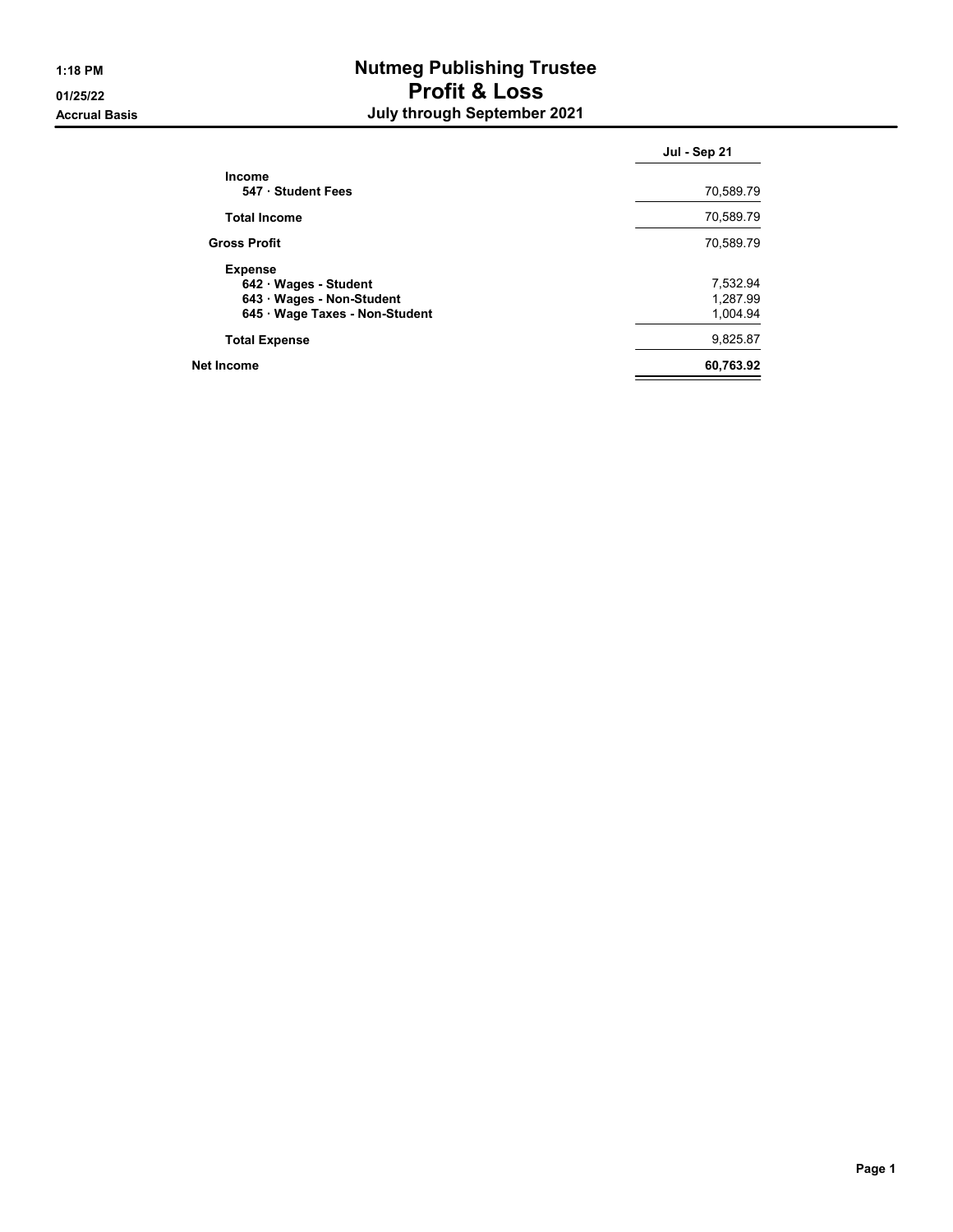# 1:18 PM **Nutmeg Publishing Trustee** 01/25/22 Profit & Loss Accrual Basis July through September 2021

|                              | Jul - Sep 21 |
|------------------------------|--------------|
| Income                       |              |
| 547 · Student Fees           | 70,589.79    |
| <b>Total Income</b>          | 70,589.79    |
| <b>Gross Profit</b>          | 70,589.79    |
| <b>Expense</b>               |              |
| 642 · Wages - Student        | 7,532.94     |
| 643 Wages - Non-Student      | 1.287.99     |
| 645 Wage Taxes - Non-Student | 1.004.94     |
| <b>Total Expense</b>         | 9.825.87     |
| Net Income                   | 60,763.92    |
|                              |              |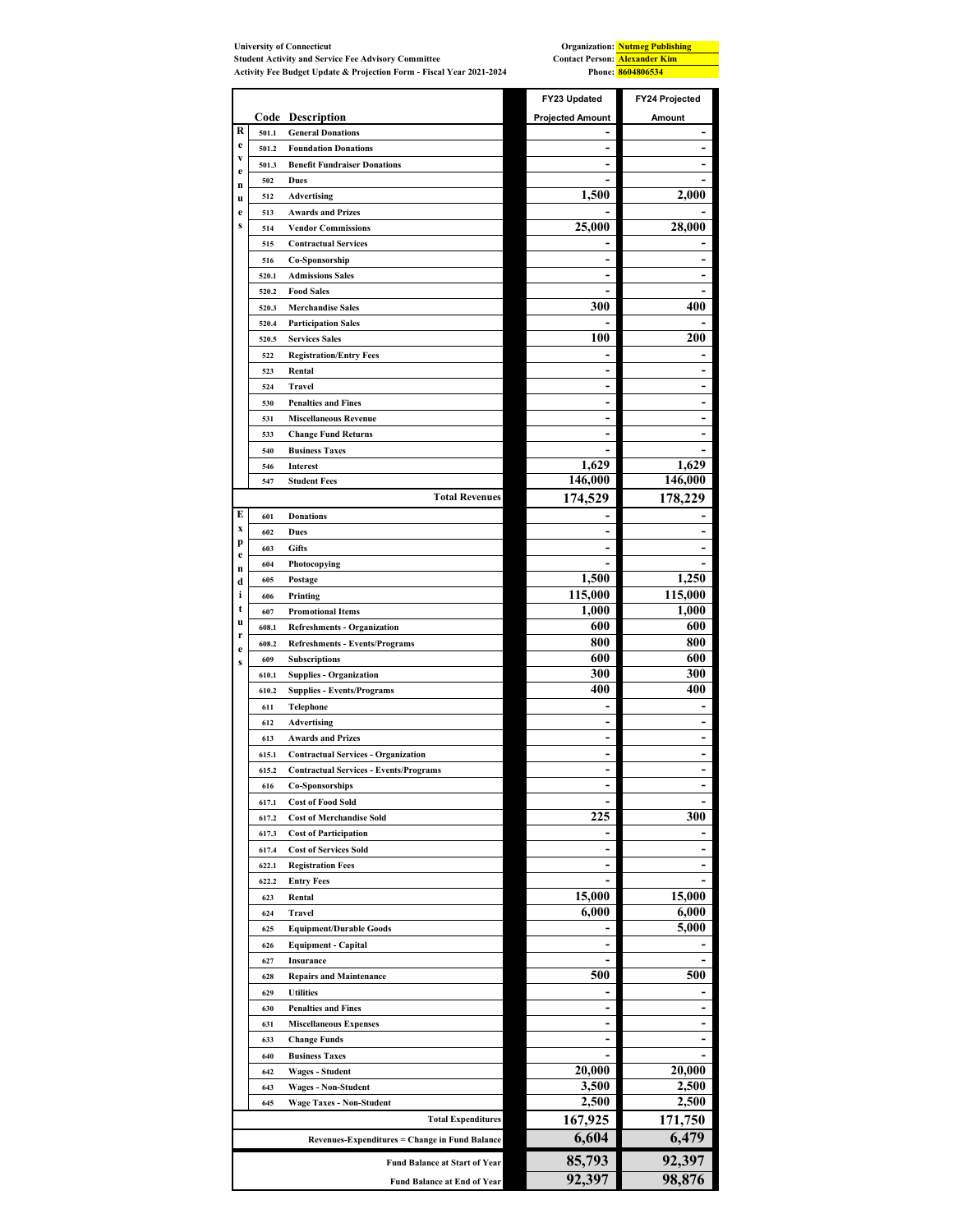| <b>University of Connecticut</b> |            |                                                                                                                                    |                                      | <b>Organization:</b> Nutmeg Publishing |
|----------------------------------|------------|------------------------------------------------------------------------------------------------------------------------------------|--------------------------------------|----------------------------------------|
|                                  |            | <b>Student Activity and Service Fee Advisory Committee</b><br>Activity Fee Budget Update & Projection Form - Fiscal Year 2021-2024 | <b>Contact Person: Alexander Kim</b> | Phone: 8604806534                      |
|                                  |            |                                                                                                                                    |                                      |                                        |
|                                  |            |                                                                                                                                    | FY23 Updated                         | FY24 Projected                         |
|                                  |            | <b>Code Description</b>                                                                                                            | <b>Projected Amount</b>              | Amount                                 |
| R                                | 501.1      | <b>General Donations</b>                                                                                                           |                                      |                                        |
| e                                | 501.2      | <b>Foundation Donations</b>                                                                                                        | $\overline{\phantom{a}}$             |                                        |
| $\mathbf{v}$<br>e                | 501.3      | <b>Benefit Fundraiser Donations</b>                                                                                                |                                      |                                        |
| n                                | 502        | <b>Dues</b>                                                                                                                        |                                      |                                        |
| u                                | 512        | <b>Advertising</b>                                                                                                                 | 1,500                                | 2,000                                  |
| e                                | 513        | <b>Awards and Prizes</b>                                                                                                           |                                      |                                        |
| S                                | 514        | <b>Vendor Commissions</b>                                                                                                          | 25,000                               | 28,000                                 |
|                                  | 515        | <b>Contractual Services</b>                                                                                                        |                                      |                                        |
|                                  | 516        | Co-Sponsorship                                                                                                                     | $\overline{\phantom{a}}$             |                                        |
|                                  | 520.1      | <b>Admissions Sales</b>                                                                                                            |                                      |                                        |
|                                  | 520.2      | <b>Food Sales</b>                                                                                                                  |                                      |                                        |
|                                  | 520.3      | <b>Merchandise Sales</b>                                                                                                           | 300                                  | 400                                    |
|                                  | 520.4      | <b>Participation Sales</b>                                                                                                         |                                      |                                        |
|                                  | 520.5      | <b>Services Sales</b>                                                                                                              | 100                                  | <b>200</b>                             |
|                                  | 522        | <b>Registration/Entry Fees</b>                                                                                                     |                                      |                                        |
|                                  | 523        | Rental                                                                                                                             |                                      |                                        |
|                                  | 524        | <b>Travel</b>                                                                                                                      | -                                    |                                        |
|                                  | 530        | <b>Penalties and Fines</b>                                                                                                         | $\blacksquare$                       |                                        |
|                                  | 531        | <b>Miscellaneous Revenue</b>                                                                                                       | $\overline{\phantom{a}}$             |                                        |
|                                  | 533        | <b>Change Fund Returns</b>                                                                                                         |                                      |                                        |
|                                  | 540        | <b>Business Taxes</b><br>Interest                                                                                                  | 1,629                                | 1,629                                  |
|                                  | 546<br>547 | <b>Student Fees</b>                                                                                                                | 146,000                              | 146,000                                |
|                                  |            | <b>Total Revenues</b>                                                                                                              | 174,529                              | 178,229                                |
| E                                |            |                                                                                                                                    |                                      |                                        |
| x                                | 601        | <b>Donations</b>                                                                                                                   |                                      |                                        |
| p                                | 602<br>603 | <b>Dues</b><br><b>Gifts</b>                                                                                                        |                                      |                                        |
| e                                | 604        |                                                                                                                                    |                                      |                                        |
| n                                | 605        | Photocopying<br>Postage                                                                                                            | 1,500                                | 1,250                                  |
| d<br>i                           | 606        | Printing                                                                                                                           | 115,000                              | 115,000                                |
| t                                | 607        | <b>Promotional Items</b>                                                                                                           | 1,000                                | 1,000                                  |
| u                                | 608.1      | <b>Refreshments - Organization</b>                                                                                                 | 600                                  | 600                                    |
| r                                | 608.2      | <b>Refreshments - Events/Programs</b>                                                                                              | 800                                  | 800                                    |
| e                                | 609        | <b>Subscriptions</b>                                                                                                               | 600                                  | 600                                    |
| $\bf{s}$                         | 610.1      | <b>Supplies - Organization</b>                                                                                                     | 300                                  | 300                                    |
|                                  | 610.2      | <b>Supplies - Events/Programs</b>                                                                                                  | 400                                  | 400                                    |
|                                  | 611        | Telephone                                                                                                                          |                                      |                                        |
|                                  | 612        | Advertising                                                                                                                        | -                                    |                                        |
|                                  | 613        | <b>Awards and Prizes</b>                                                                                                           |                                      |                                        |
|                                  | 615.1      | <b>Contractual Services - Organization</b>                                                                                         | $\overline{\phantom{a}}$             | -                                      |
|                                  | 615.2      | <b>Contractual Services - Events/Programs</b>                                                                                      | $\overline{\phantom{0}}$             |                                        |
|                                  | 616        | <b>Co-Sponsorships</b>                                                                                                             |                                      |                                        |
|                                  | 617.1      | <b>Cost of Food Sold</b>                                                                                                           | $\overline{\phantom{a}}$             |                                        |
|                                  | 617.2      | <b>Cost of Merchandise Sold</b>                                                                                                    | 225                                  | 300                                    |
|                                  | 617.3      | <b>Cost of Participation</b>                                                                                                       | $\overline{\phantom{a}}$             |                                        |
|                                  | 617.4      | <b>Cost of Services Sold</b>                                                                                                       | $\overline{a}$                       |                                        |
|                                  | 622.1      | <b>Registration Fees</b>                                                                                                           |                                      |                                        |
|                                  | 622.2      | <b>Entry Fees</b>                                                                                                                  |                                      |                                        |
|                                  | 623        | Rental                                                                                                                             | 15,000                               | 15,000                                 |
|                                  | 624        | <b>Travel</b>                                                                                                                      | 6,000                                | 6,000                                  |
|                                  | 625        | <b>Equipment/Durable Goods</b>                                                                                                     |                                      | 5,000                                  |
|                                  | 626        | <b>Equipment - Capital</b>                                                                                                         |                                      |                                        |
|                                  | 627        | Insurance                                                                                                                          | -                                    |                                        |
|                                  | 628        | <b>Repairs and Maintenance</b>                                                                                                     | 500                                  | 500                                    |
|                                  | 629        | <b>Utilities</b>                                                                                                                   | $\overline{\phantom{a}}$             |                                        |
|                                  | 630        | <b>Penalties and Fines</b>                                                                                                         | $\overline{\phantom{0}}$             |                                        |
|                                  | 631        | <b>Miscellaneous Expenses</b>                                                                                                      |                                      |                                        |
|                                  | 633        | <b>Change Funds</b>                                                                                                                | -                                    |                                        |
|                                  | 640        | <b>Business Taxes</b>                                                                                                              |                                      |                                        |
|                                  | 642        | <b>Wages - Student</b>                                                                                                             | 20,000<br>3,500                      | 20,000<br>2,500                        |
|                                  | 643<br>645 | <b>Wages - Non-Student</b><br><b>Wage Taxes - Non-Student</b>                                                                      | 2,500                                | 2,500                                  |
|                                  |            | <b>Total Expenditures</b>                                                                                                          | 167,925                              | 171,750                                |
|                                  |            |                                                                                                                                    |                                      |                                        |
|                                  |            | Revenues-Expenditures = Change in Fund Balance                                                                                     | 6,604                                | 6,479                                  |
|                                  |            | <b>Fund Balance at Start of Year</b>                                                                                               | 85,793                               | 92,397                                 |

**Fund Balance at End of Year**

 **92,397 98,876**